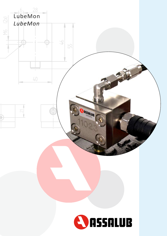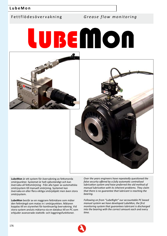Fettflödesövervakning *Grease flow monitoring*

# **LUBEMION**



**LubeMon** är ett system för övervakning av fettsmorda smörjpunkter. Systemet är helt självständigt och kan övervaka all fettsmörjning - från alla typer av automatiska smörjsystem till manuell smörjning. Systemet kan övervaka en eller flera viktiga smörjobjekt men även stora smörjsystem.

**LubeMon** består av en noggrann fettmätare som mäter den fettmängd som matas in i smörjpunkten. Mätaren kopplas till en styrenhet för kontinuerlig övervakning. Vid stora system ansluts mätarna via en databus till en PC som erbjuder avancerade statistik- och loggningsfunktioner.

*Over the years engineers have repeatedly questioned the false security offered by a fully automatic centralised lubrication system and have preferred the old method of manual lubrication with its inherent problems. They claim that there is no guarantee that lubricant is reaching the bearing.*

*Following on from "LubeRight" our accountable PC based manual system we have developed LubeMon, the first monitoring system that guarantees lubricant is discharged into the bearing with the correct amount each and every time.*

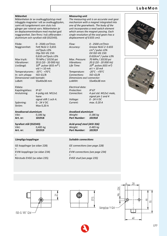#### **Mätenhet**

Mätenheten är av ovalkugghjulstyp med inbyggda magneter i ett av ovalkugghjulen, samt ett tungelement som sluts två gånger per roterat varv. Mätenheten är en deplacementmätare med mycket god noggrannhet. Den finns i två utföranden aluminium och syrafast stål (SS2343).

Flöde: 0 - 2500 cm³/min Noggrannhet: Fett NLGI 2: 0,655  $cm<sup>3</sup>/puls  $\pm 3%$$ Olja ISO-VG 150: 0,610  $cm^3$ /puls  $±3%$ Max tryck: 70 MPa / 10150 psi Vibrationer: 20 G (10 - 20 000 Hz) Livslängd:  $10^9$  pulser (655 m<sup>3</sup>) vid I < 10 mA Temperaturomr.: -20°C - +70°C In- och utlopp: ISO-G1/8 Dimensioner exkl kontakt: LxBxH: 55x40x38 mm

#### Eldata:

Kapslingsklass: IP 67 Anslutning: 4-polig std. M12x1 hane signal stift 1 och 4. Spänning: 0 - 24 V DC Ström: Max 0,20 A

#### **Anodiserad aluminium**

Vikt: 0,186 kg **Art. nr: 101918**

#### **Syrafast stål (SS2343)** Vikt: 0,485 kg **Art. nr: 101919**

#### **Lämpliga kopplingar**

GE-kopplingar (se sidan 228) + EVW-kopplingar (se sidan 234) + Rörstuds EVGE (se sidan 235)

#### *Measuring unit*

*The measuring unit is an accurate oval gear mechanism with a magnet integrated into one of the gearwheels. The body of the unit incorporates a reed switch element which senses the magnet passing. Each single revolution of the oval gears has a displacement of 0.655 cm3.*

*Flow: 0 - 2500 cm³/min Accuracy: Grease NLGI 2: 0.655 cm³ / pulse ±3% Oil ISO-VG 150: 0.610cm³ / pulse ±3% Max. Pressure: 70 MPa / 10150 psi Vibrations: 20 G (10 - 20 000 Hz) Life Time: 109 pulses (655 m³) at I < 10 mA Temperature: -20°C - +70°C Connections: ISO-G1/8 Dimensions excl connector: LxWXH: 55x40x38 mm*

*Electrical data: Protection: IP 67 Connection: 4-pol std. M12x1 male, signal pin 1 and 4 Voltage: 0 - 24 V DC Current: max. 0.20 A*

*Anodized aluminium*

*Weight: 0.186 kg Part Number: 101918*

*Acid-proof steel (AISI 316) Weight: 0.485 kg Part Number: 101919*

#### *Suitable connections*

*GE connections (see page 228) + EVW connections (see page 234) + EVGE stud (see page 235)*











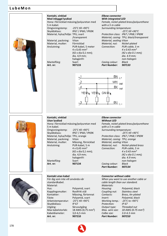

| Kontakt, vinklad<br>Med inbyggd lysdiod<br>5 m kabel.<br>Omgivningstemp: | Hona i förnicklad mässing/polyuretan med<br>$-25^{\circ}$ C till +90 $^{\circ}$ C | Elbow connector<br>With integrated LED<br>with a 5 m cable<br>Surrounding temperature: | Female, nickel-plated brass/polyurethane          |
|--------------------------------------------------------------------------|-----------------------------------------------------------------------------------|----------------------------------------------------------------------------------------|---------------------------------------------------|
| Skyddsklass:                                                             | IP67 / IP68 / IP69K                                                               |                                                                                        | $-25^{\circ}$ C till +90°C                        |
| Material, hylsa/hölje: TPU, svart                                        |                                                                                   |                                                                                        | Protection class: IP67 / IP68 / IP69K             |
|                                                                          | /transparent                                                                      |                                                                                        | Material, casing: TPU, black/transparent          |
| Material, packning:                                                      | Viton                                                                             | Material, sealing: Viton                                                               |                                                   |
| Material, mutter:                                                        | Förnicklad                                                                        | Material, nut: Nickel-plated                                                           |                                                   |
| Anslutning:                                                              | PUR-kabel, 5 meter<br>$4 \times 0.43$ mm <sup>2</sup>                             | Connection:                                                                            | PUR-cable, 5 m<br>$4 \times 0.43$ mm <sup>2</sup> |
|                                                                          | $(42 \times$ dia 0,1 mm);                                                         |                                                                                        | (42 x dia 0.1 mm);                                |
|                                                                          | dia. 4,9 mm;                                                                      |                                                                                        | dia. 4.9 mm;                                      |
|                                                                          | halogenfri                                                                        |                                                                                        | non-halogen                                       |
| Mantelfärg:                                                              | Svart                                                                             | Casing colour:                                                                         | Black                                             |
| Art. nr:                                                                 | 907133                                                                            | <b>Part Number:</b>                                                                    | 907133                                            |





| Hona i förnicklad mässing/polyuretan med |                                      |
|------------------------------------------|--------------------------------------|
| 5 m kabel.                               |                                      |
| Omgivningstemp:                          | $-25^{\circ}$ C till $+90^{\circ}$ C |
| Skyddsklass:                             | IP67 / IP68 / IP69K                  |
| Material, hylsa/hölje: TPU, orange       |                                      |
| Material, packning:                      | Viton                                |
| Material, mutter:                        | Mässing, förnicklad                  |
| Anslutning:                              | PUR-kabel, 5 m                       |
|                                          | $4 \times 0.43$ mm <sup>2</sup>      |
|                                          | (42 x dia 0,1 mm);                   |
|                                          | dia. 4,9 mm;                         |
|                                          | halogenfri                           |
| Mantelfärg:                              | Svart                                |
| Art. nr:                                 | 907134                               |
|                                          |                                      |
|                                          |                                      |

**Kontakt, vinklad Utan lysdiod**

**Kontakt utan kabel**

Arbetstemperatur: Skyddsklass: IP 67 Utgång: Skruvutgång Max kabelstorlek: 18 AWG (0,75 mm<sup>2</sup>) Kabeldiameter: 3,0-6,5 mm **Art. nr: 907210**

standardkabel. Material:

För dig som inte vill använda vår

Hus: Polyamid, svart Kopplingsmutter: Rostfritt stål Kontakter: Mässing, förtennat Fäste: Polyamid, svart<br>Arbetstemperatur: -25°C till +90°C

#### *Elbow connector Without LED*

*Female, nickel-plated brass/polyurethane with a 5 m cable Surrounding temperature: -25°C till +90°C Protection class: IP67 / IP68 / IP69K Material, casing: TPU, orange Material, sealing:Viton Material, nut: Nickel-plated brass Connection: PUR-cable, 5 m 4 x 0.43 mm² (42 x dia 0.1 mm); dia. 4.9 mm; non-halogen Casing colour: Black* **Part Number:** 

## *Connector without cable*

*When you want to use another cable or cable length than our standard. Materials: Housing: Polyamid, black Coupling nut: Stainless steel Contacts: Brass, tin-plated Insert: Polyamid, black Working temp.: -25°C to +90°C Protection: IP 67 Output type: Threaded nut Max. wire size: 18 AWG (0.75 mm²) Calbe size: 3.0-6.5 mm Part Number: 907210*

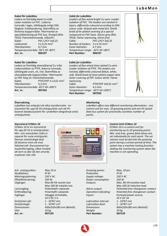#### **Kabel för LubeMon**

Ledare av fintrådig blank Cu-tråd. Ledar-isolation av PVC. Ledarna tvinnade i lager, olikfärgade enligt DINfärgkod. Foliebandering. Skärmfläta av förtenta koppartrådar. Yttermantel av specialblandning på PVC-bas. Kiselgrå (RAL 7032). Flammhämmande, silikonfri. Kabel: PVC LiYCY 3x0,25 Ledarantal: 3 x 0.25 mm<sup>2</sup> Ytterdiameter: 4,7 mm Temperaturområde:-30°C till +80°C **Art. nr: 906197**

#### **Kabel för LubeMon**

Ledare av fintrådig silverpläterad Cu-tråd. Ledarisolation av PTFE, ledarna tvinnade, olikfärgade svart, vit, röd. Skärmfläta av silverpläterade koppartrådar. Yttermantel av FEP. Färg vit. Flammhämmande. Kabel: PTFE/FEP 3 x 0,61 mm<sup>2</sup> Ytterdiameter: 4,3 mm Temperaturområde:-65°C till +200°C **Art. nr: 907342**

#### *Cable for LubeMon*

*Leaders of fine-wired bright Cu-wire. Leader isolation of PVC. The leaders are twisted in layers, differently coloured according to DINcolour code. Striped with metal foil. Shield braid of tin-plated covering of a special compound on PVC-base. Silicon gray (RAL 7032). Flame repressing, silicon free. Cable: PVC LiYCY 3x0.25 Number of leaders: 3 x 0.25 mm² Outer diameter: 4.7 mm Temperature range: -30°C till +80°C Part Number: 906197*



*Leaders of fine-wired silver-plated Cu-wire. Leader isolation of PTFE. The leaders are twisted, differently coloured (black, white, red). Shield braid of silver-plated copper-wire. Outer covering of FEP. Colour white. Flame repressing. Cable: PTFE/FEP 3x0.61 mm² Outer diameter: 4.3 mm Temperature range: -65°C till +200°C Part Number: 907342*





LubeMon kan erbjuda två olika styralternativ - en styrenhet för upp till 10 smörjpunkter och ett PCbaserat databussystem för i praktiken obegränsat antal smörjpunkter.

#### *Monitoring*

*LubeMon offers two different monitoring alternatives - one control unit for max. 10 greasing points and one PC-based data bus system for practically countless number of points.*

#### **Styrcentral CCMon 10**

CCMon 10 är en styrcentral för upp till 10 st smörjpunkter. Min- och maxvärden ställs in separat för varje smörjpunkt. Dennas smörjmängd skall då doseras inom ett visst tidsintervall. Styrsystemet har maskinförregling, vilket innebär att larm ej sker då den smorda maskinen står still.

**LUBEMON** SMÓRJÖVERVAKNING<br>STYRCENTRAL CCMon10 **CVASSALUB** 

#### *Control Unit CCMon 10*

*CCMon 10 is a control unit for monitoring up to 10 greasing points. Min. and max. grease feed values are set individually for each point. The set volume must be fed into the greasing point during a certain period of time. The system has a machine locking function stalling the monitoring system when the machine is not operating.*

Ant. smörjpunkter: Max 10 st<br>Skyddsklass: IP 65 Skyddsklass: Matningsspänning: 230 V AC Effektförbrukning: 350 W

Smörjmängd: 1 - 32767 cm<sup>3</sup> Vikt: 10 kg **Art. nr: 907129**

Utgångar: Max 80 VA resistiv last Max 100 W induktiv last Larmutgång: Potientialfri växlande Driftindikering: Potentialfri växlande Ingångar: Inbyggd strömkälla, 24 V DC 5 A Smörjintervall: 1 - 32767 min Dimensioner: 400x310x180 mm (BxHxD) *Greasing points: Max. 10 pcs Protection: IP 65 Supply voltage: 230 V AC Power consumption: 350 W*

*Lubrication interval: 1 - 32767 min Lubrication feed: 1 - 32767 cm³ Weight: 10 kg Part Number: 907129*

*Outputs: Max. 80 VA resistive load Max 100 W inductive load Alarm output: Potiential-free changeover contact Operation indicating: Potential-free changeover contact Inputs: Enclosed power source, 24 V DC 5A Dimensions: 400x310x180 mm (WxHxD)*